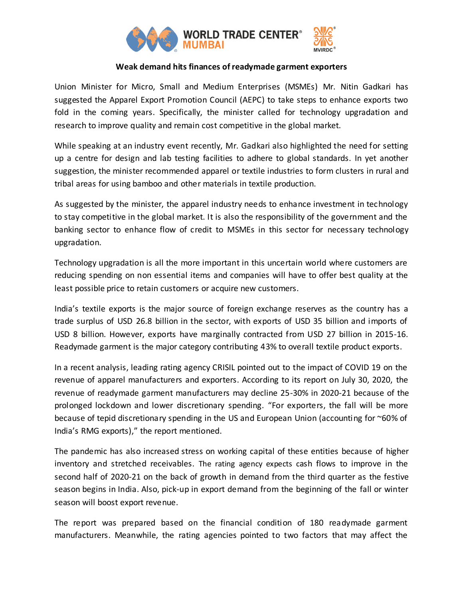

## **Weak demand hits finances of readymade garment exporters**

Union Minister for Micro, Small and Medium Enterprises (MSMEs) Mr. Nitin Gadkari has suggested the Apparel Export Promotion Council (AEPC) to take steps to enhance exports two fold in the coming years. Specifically, the minister called for technology upgradation and research to improve quality and remain cost competitive in the global market.

While speaking at an industry event recently, Mr. Gadkari also highlighted the need for setting up a centre for design and lab testing facilities to adhere to global standards. In yet another suggestion, the minister recommended apparel or textile industries to form clusters in rural and tribal areas for using bamboo and other materials in textile production.

As suggested by the minister, the apparel industry needs to enhance investment in technology to stay competitive in the global market. It is also the responsibility of the government and the banking sector to enhance flow of credit to MSMEs in this sector for necessary technology upgradation.

Technology upgradation is all the more important in this uncertain world where customers are reducing spending on non essential items and companies will have to offer best quality at the least possible price to retain customers or acquire new customers.

India's textile exports is the major source of foreign exchange reserves as the country has a trade surplus of USD 26.8 billion in the sector, with exports of USD 35 billion and imports of USD 8 billion. However, exports have marginally contracted from USD 27 billion in 2015-16. Readymade garment is the major category contributing 43% to overall textile product exports.

In a recent analysis, leading rating agency CRISIL pointed out to the impact of COVID 19 on the revenue of apparel manufacturers and exporters. According to its report on July 30, 2020, the revenue of readymade garment manufacturers may decline 25-30% in 2020-21 because of the prolonged lockdown and lower discretionary spending. "For exporters, the fall will be more because of tepid discretionary spending in the US and European Union (accounting for ~60% of India's RMG exports)," the report mentioned.

The pandemic has also increased stress on working capital of these entities because of higher inventory and stretched receivables. The rating agency expects cash flows to improve in the second half of 2020-21 on the back of growth in demand from the third quarter as the festive season begins in India. Also, pick-up in export demand from the beginning of the fall or winter season will boost export revenue.

The report was prepared based on the financial condition of 180 readymade garment manufacturers. Meanwhile, the rating agencies pointed to two factors that may affect the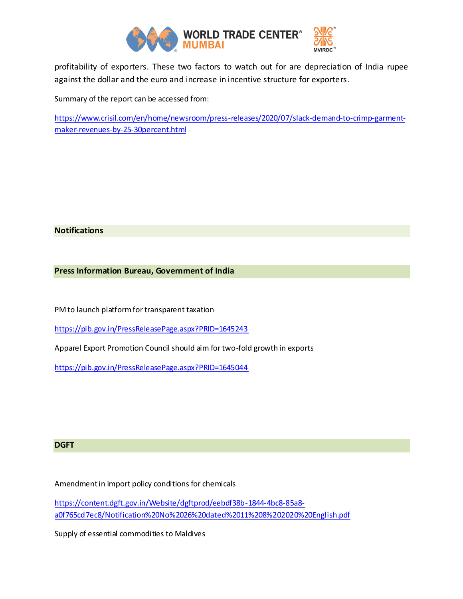

profitability of exporters. These two factors to watch out for are depreciation of India rupee against the dollar and the euro and increase in incentive structure for exporters.

Summary of the report can be accessed from:

[https://www.crisil.com/en/home/newsroom/press-releases/2020/07/slack-demand-to-crimp-garment](https://www.crisil.com/en/home/newsroom/press-releases/2020/07/slack-demand-to-crimp-garment-maker-revenues-by-25-30percent.html)[maker-revenues-by-25-30percent.html](https://www.crisil.com/en/home/newsroom/press-releases/2020/07/slack-demand-to-crimp-garment-maker-revenues-by-25-30percent.html)

## **Notifications**

**Press Information Bureau, Government of India**

PM to launch platform for transparent taxation

<https://pib.gov.in/PressReleasePage.aspx?PRID=1645243>

Apparel Export Promotion Council should aim for two-fold growth in exports

<https://pib.gov.in/PressReleasePage.aspx?PRID=1645044>

## **DGFT**

Amendment in import policy conditions for chemicals

[https://content.dgft.gov.in/Website/dgftprod/eebdf38b-1844-4bc8-85a8](https://content.dgft.gov.in/Website/dgftprod/eebdf38b-1844-4bc8-85a8-a0f765cd7ec8/Notification%20No%2026%20dated%2011%208%202020%20English.pdf) [a0f765cd7ec8/Notification%20No%2026%20dated%2011%208%202020%20English.pdf](https://content.dgft.gov.in/Website/dgftprod/eebdf38b-1844-4bc8-85a8-a0f765cd7ec8/Notification%20No%2026%20dated%2011%208%202020%20English.pdf)

Supply of essential commodities to Maldives